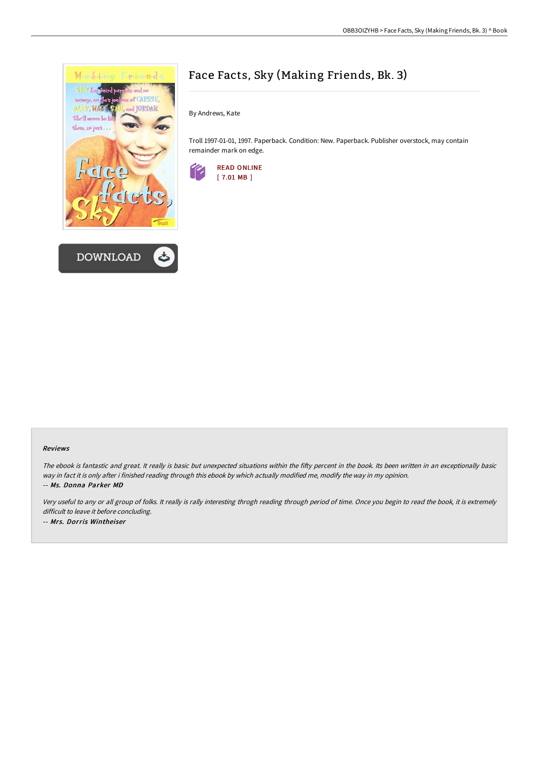



## Face Facts, Sky (Making Friends, Bk. 3)

By Andrews, Kate

Troll 1997-01-01, 1997. Paperback. Condition: New. Paperback. Publisher overstock, may contain remainder mark on edge.



## Reviews

The ebook is fantastic and great. It really is basic but unexpected situations within the fifty percent in the book. Its been written in an exceptionally basic way in fact it is only after i finished reading through this ebook by which actually modified me, modify the way in my opinion. -- Ms. Donna Parker MD

Very useful to any or all group of folks. It really is rally interesting throgh reading through period of time. Once you begin to read the book, it is extremely difficult to leave it before concluding. -- Mrs. Dorris Wintheiser